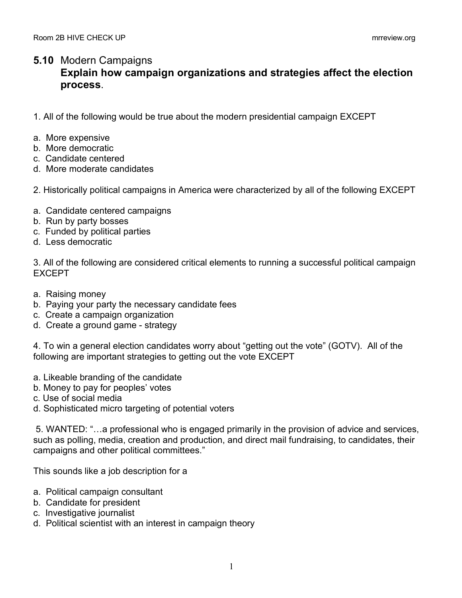## **5.10** Modern Campaigns **Explain how campaign organizations and strategies affect the election process**.

- 1. All of the following would be true about the modern presidential campaign EXCEPT
- a. More expensive
- b. More democratic
- c. Candidate centered
- d. More moderate candidates
- 2. Historically political campaigns in America were characterized by all of the following EXCEPT
- a. Candidate centered campaigns
- b. Run by party bosses
- c. Funded by political parties
- d. Less democratic

3. All of the following are considered critical elements to running a successful political campaign EXCEPT

- a. Raising money
- b. Paying your party the necessary candidate fees
- c. Create a campaign organization
- d. Create a ground game strategy

4. To win a general election candidates worry about "getting out the vote" (GOTV). All of the following are important strategies to getting out the vote EXCEPT

- a. Likeable branding of the candidate
- b. Money to pay for peoples' votes
- c. Use of social media
- d. Sophisticated micro targeting of potential voters

5. WANTED: "…a professional who is engaged primarily in the provision of advice and services, such as polling, media, creation and production, and direct mail fundraising, to candidates, their campaigns and other political committees."

This sounds like a job description for a

- a. Political campaign consultant
- b. Candidate for president
- c. Investigative journalist
- d. Political scientist with an interest in campaign theory